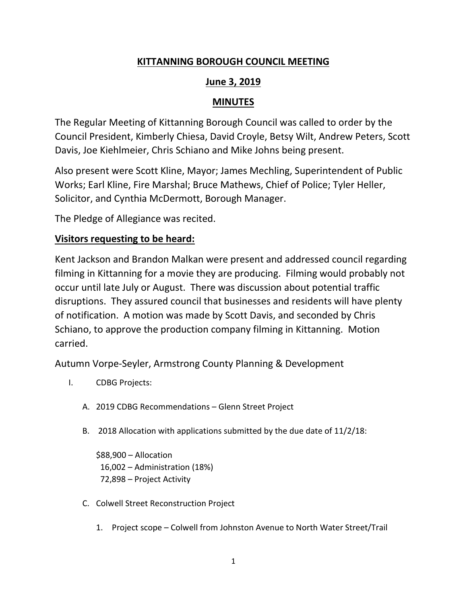# **KITTANNING BOROUGH COUNCIL MEETING**

# **June 3, 2019**

# **MINUTES**

The Regular Meeting of Kittanning Borough Council was called to order by the Council President, Kimberly Chiesa, David Croyle, Betsy Wilt, Andrew Peters, Scott Davis, Joe Kiehlmeier, Chris Schiano and Mike Johns being present.

Also present were Scott Kline, Mayor; James Mechling, Superintendent of Public Works; Earl Kline, Fire Marshal; Bruce Mathews, Chief of Police; Tyler Heller, Solicitor, and Cynthia McDermott, Borough Manager.

The Pledge of Allegiance was recited.

# **Visitors requesting to be heard:**

Kent Jackson and Brandon Malkan were present and addressed council regarding filming in Kittanning for a movie they are producing. Filming would probably not occur until late July or August. There was discussion about potential traffic disruptions. They assured council that businesses and residents will have plenty of notification. A motion was made by Scott Davis, and seconded by Chris Schiano, to approve the production company filming in Kittanning. Motion carried.

Autumn Vorpe-Seyler, Armstrong County Planning & Development

- I. CDBG Projects:
	- A. 2019 CDBG Recommendations Glenn Street Project
	- B. 2018 Allocation with applications submitted by the due date of 11/2/18:

\$88,900 – Allocation 16,002 – Administration (18%) 72,898 – Project Activity

- C. Colwell Street Reconstruction Project
	- 1. Project scope Colwell from Johnston Avenue to North Water Street/Trail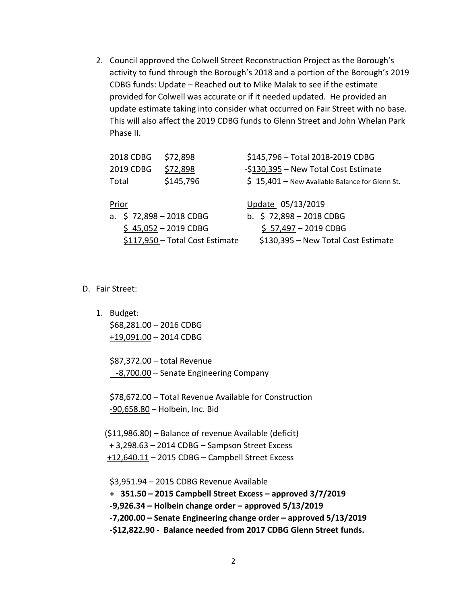2. Council approved the Colwell Street Reconstruction Project as the Borough's activity to fund through the Borough's 2018 and a portion of the Borough's 2019 CDBG funds: Update – Reached out to Mike Malak to see if the estimate provided for Colwell was accurate or if it needed updated. He provided an update estimate taking into consider what occurred on Fair Street with no base. This will also affect the 2019 CDBG funds to Glenn Street and John Whelan Park Phase II.

| 2018 CDBG                | \$72,898                        | \$145,796 - Total 2018-2019 CDBG                |
|--------------------------|---------------------------------|-------------------------------------------------|
| 2019 CDBG                | \$72,898                        | -\$130,395 - New Total Cost Estimate            |
| Total                    | \$145,796                       | $$15,401$ – New Available Balance for Glenn St. |
| Prior                    |                                 | Update 05/13/2019                               |
| a. $$72,898 - 2018$ CDBG |                                 | b. $$72,898 - 2018$ CDBG                        |
|                          | $$45,052 - 2019$ CDBG           | $$ 57,497 - 2019$ CDBG                          |
|                          | \$117,950 - Total Cost Estimate | \$130,395 - New Total Cost Estimate             |

#### D. Fair Street:

1. Budget: \$68,281.00 – 2016 CDBG

+19,091.00 – 2014 CDBG

\$87,372.00 – total Revenue -8,700.00 - Senate Engineering Company

\$78,672.00 – Total Revenue Available for Construction -90,658.80 – Holbein, Inc. Bid

 (\$11,986.80) – Balance of revenue Available (deficit) + 3,298.63 – 2014 CDBG – Sampson Street Excess +12,640.11 – 2015 CDBG – Campbell Street Excess

\$3,951.94 – 2015 CDBG Revenue Available

**+ 351.50 – 2015 Campbell Street Excess – approved 3/7/2019**

**-9,926.34 – Holbein change order – approved 5/13/2019**

**-7,200.00 – Senate Engineering change order – approved 5/13/2019**

**-\$12,822.90 - Balance needed from 2017 CDBG Glenn Street funds.**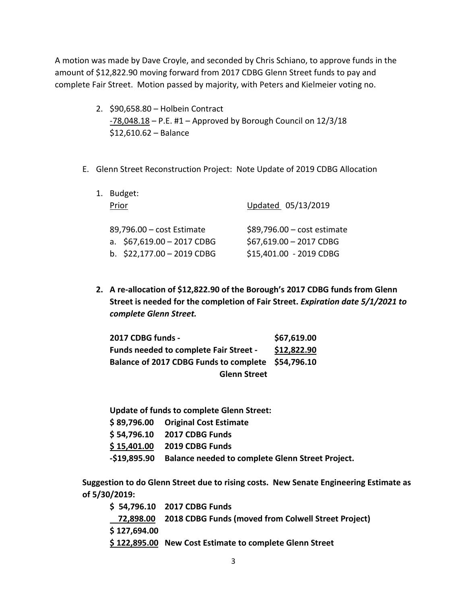A motion was made by Dave Croyle, and seconded by Chris Schiano, to approve funds in the amount of \$12,822.90 moving forward from 2017 CDBG Glenn Street funds to pay and complete Fair Street. Motion passed by majority, with Peters and Kielmeier voting no.

- 2. \$90,658.80 Holbein Contract  $-78,048.18 - P.E.$  #1 – Approved by Borough Council on  $12/3/18$ \$12,610.62 – Balance
- E. Glenn Street Reconstruction Project: Note Update of 2019 CDBG Allocation

| 1. Budget:<br>Prior                                                                     | Updated 05/13/2019                                                                 |  |
|-----------------------------------------------------------------------------------------|------------------------------------------------------------------------------------|--|
| 89,796.00 - cost Estimate<br>a. $$67,619.00 - 2017$ CDBG<br>b. $$22,177.00 - 2019$ CDBG | $$89,796.00 - cost estimate$<br>\$67,619.00 - 2017 CDBG<br>\$15,401.00 - 2019 CDBG |  |

**2. A re-allocation of \$12,822.90 of the Borough's 2017 CDBG funds from Glenn Street is needed for the completion of Fair Street.** *Expiration date 5/1/2021 to complete Glenn Street.*

| 2017 CDBG funds -                                  | \$67,619.00 |
|----------------------------------------------------|-------------|
| <b>Funds needed to complete Fair Street -</b>      | \$12,822.90 |
| Balance of 2017 CDBG Funds to complete \$54,796.10 |             |
| <b>Glenn Street</b>                                |             |

**Update of funds to complete Glenn Street:** 

| \$89,796.00 Original Cost Estimate                            |
|---------------------------------------------------------------|
| \$54,796.10 2017 CDBG Funds                                   |
| \$15,401.00 2019 CDBG Funds                                   |
| -\$19,895.90 Balance needed to complete Glenn Street Project. |

**Suggestion to do Glenn Street due to rising costs. New Senate Engineering Estimate as of 5/30/2019:**

|              | \$54,796.10 2017 CDBG Funds                                   |
|--------------|---------------------------------------------------------------|
|              | 72,898.00 2018 CDBG Funds (moved from Colwell Street Project) |
| \$127,694.00 |                                                               |
|              | \$122,895.00 New Cost Estimate to complete Glenn Street       |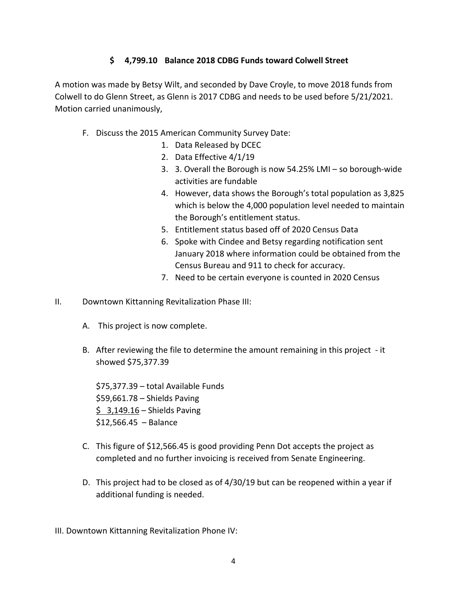# **\$ 4,799.10 Balance 2018 CDBG Funds toward Colwell Street**

A motion was made by Betsy Wilt, and seconded by Dave Croyle, to move 2018 funds from Colwell to do Glenn Street, as Glenn is 2017 CDBG and needs to be used before 5/21/2021. Motion carried unanimously,

- F. Discuss the 2015 American Community Survey Date:
	- 1. Data Released by DCEC
	- 2. Data Effective 4/1/19
	- 3. 3. Overall the Borough is now 54.25% LMI so borough-wide activities are fundable
	- 4. However, data shows the Borough's total population as 3,825 which is below the 4,000 population level needed to maintain the Borough's entitlement status.
	- 5. Entitlement status based off of 2020 Census Data
	- 6. Spoke with Cindee and Betsy regarding notification sent January 2018 where information could be obtained from the Census Bureau and 911 to check for accuracy.
	- 7. Need to be certain everyone is counted in 2020 Census
- II. Downtown Kittanning Revitalization Phase III:
	- A. This project is now complete.
	- B. After reviewing the file to determine the amount remaining in this project it showed \$75,377.39

\$75,377.39 – total Available Funds \$59,661.78 – Shields Paving  $$3,149.16 - Shields Paving$ \$12,566.45 – Balance

- C. This figure of \$12,566.45 is good providing Penn Dot accepts the project as completed and no further invoicing is received from Senate Engineering.
- D. This project had to be closed as of 4/30/19 but can be reopened within a year if additional funding is needed.
- III. Downtown Kittanning Revitalization Phone IV: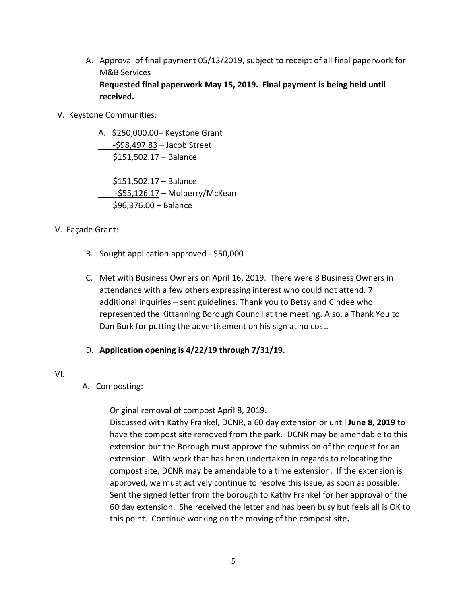A. Approval of final payment 05/13/2019, subject to receipt of all final paperwork for M&B Services **Requested final paperwork May 15, 2019. Final payment is being held until received.**

#### IV. Keystone Communities:

A. \$250,000.00– Keystone Grant -\$98,497.83 – Jacob Street \$151,502.17 – Balance

 \$151,502.17 – Balance -\$55,126.17 – Mulberry/McKean \$96,376.00 – Balance

#### V. Façade Grant:

- B. Sought application approved \$50,000
- C. Met with Business Owners on April 16, 2019. There were 8 Business Owners in attendance with a few others expressing interest who could not attend. 7 additional inquiries – sent guidelines. Thank you to Betsy and Cindee who represented the Kittanning Borough Council at the meeting. Also, a Thank You to Dan Burk for putting the advertisement on his sign at no cost.

#### D. **Application opening is 4/22/19 through 7/31/19.**

#### VI.

## A. Composting:

Original removal of compost April 8, 2019.

Discussed with Kathy Frankel, DCNR, a 60 day extension or until **June 8, 2019** to have the compost site removed from the park. DCNR may be amendable to this extension but the Borough must approve the submission of the request for an extension. With work that has been undertaken in regards to relocating the compost site, DCNR may be amendable to a time extension. If the extension is approved, we must actively continue to resolve this issue, as soon as possible. Sent the signed letter from the borough to Kathy Frankel for her approval of the 60 day extension. She received the letter and has been busy but feels all is OK to this point. Continue working on the moving of the compost site**.**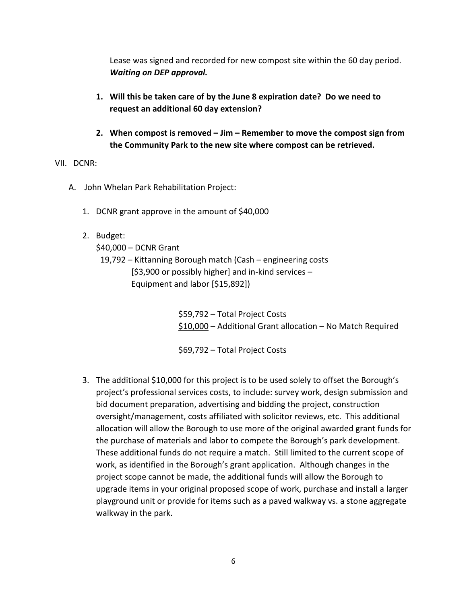Lease was signed and recorded for new compost site within the 60 day period. *Waiting on DEP approval.*

- **1. Will this be taken care of by the June 8 expiration date? Do we need to request an additional 60 day extension?**
- **2. When compost is removed – Jim – Remember to move the compost sign from the Community Park to the new site where compost can be retrieved.**

#### VII. DCNR:

- A. John Whelan Park Rehabilitation Project:
	- 1. DCNR grant approve in the amount of \$40,000
	- 2. Budget:

\$40,000 – DCNR Grant

19,792 – Kittanning Borough match (Cash – engineering costs [\$3,900 or possibly higher] and in-kind services – Equipment and labor [\$15,892])

> \$59,792 – Total Project Costs \$10,000 – Additional Grant allocation – No Match Required

\$69,792 – Total Project Costs

3. The additional \$10,000 for this project is to be used solely to offset the Borough's project's professional services costs, to include: survey work, design submission and bid document preparation, advertising and bidding the project, construction oversight/management, costs affiliated with solicitor reviews, etc. This additional allocation will allow the Borough to use more of the original awarded grant funds for the purchase of materials and labor to compete the Borough's park development. These additional funds do not require a match. Still limited to the current scope of work, as identified in the Borough's grant application. Although changes in the project scope cannot be made, the additional funds will allow the Borough to upgrade items in your original proposed scope of work, purchase and install a larger playground unit or provide for items such as a paved walkway vs. a stone aggregate walkway in the park.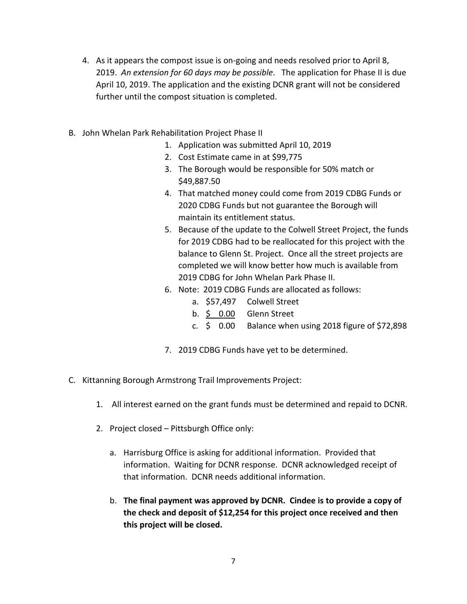- 4. As it appears the compost issue is on-going and needs resolved prior to April 8, 2019. *An extension for 60 days may be possible*. The application for Phase II is due April 10, 2019. The application and the existing DCNR grant will not be considered further until the compost situation is completed.
- B. John Whelan Park Rehabilitation Project Phase II
	- 1. Application was submitted April 10, 2019
	- 2. Cost Estimate came in at \$99,775
	- 3. The Borough would be responsible for 50% match or \$49,887.50
	- 4. That matched money could come from 2019 CDBG Funds or 2020 CDBG Funds but not guarantee the Borough will maintain its entitlement status.
	- 5. Because of the update to the Colwell Street Project, the funds for 2019 CDBG had to be reallocated for this project with the balance to Glenn St. Project. Once all the street projects are completed we will know better how much is available from 2019 CDBG for John Whelan Park Phase II.
	- 6. Note: 2019 CDBG Funds are allocated as follows:
		- a. \$57,497 Colwell Street
		- b.  $\frac{6}{5}$  0.00 Glenn Street
		- c.  $\leq$  0.00 Balance when using 2018 figure of \$72,898
	- 7. 2019 CDBG Funds have yet to be determined.
- C. Kittanning Borough Armstrong Trail Improvements Project:
	- 1. All interest earned on the grant funds must be determined and repaid to DCNR.
	- 2. Project closed Pittsburgh Office only:
		- a. Harrisburg Office is asking for additional information. Provided that information. Waiting for DCNR response. DCNR acknowledged receipt of that information. DCNR needs additional information.
		- b. **The final payment was approved by DCNR. Cindee is to provide a copy of the check and deposit of \$12,254 for this project once received and then this project will be closed.**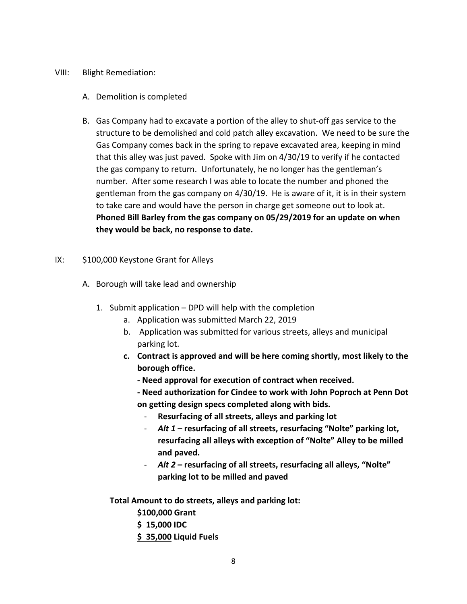#### VIII: Blight Remediation:

- A. Demolition is completed
- B. Gas Company had to excavate a portion of the alley to shut-off gas service to the structure to be demolished and cold patch alley excavation. We need to be sure the Gas Company comes back in the spring to repave excavated area, keeping in mind that this alley was just paved. Spoke with Jim on 4/30/19 to verify if he contacted the gas company to return. Unfortunately, he no longer has the gentleman's number. After some research I was able to locate the number and phoned the gentleman from the gas company on 4/30/19. He is aware of it, it is in their system to take care and would have the person in charge get someone out to look at. **Phoned Bill Barley from the gas company on 05/29/2019 for an update on when they would be back, no response to date.**

#### IX: \$100,000 Keystone Grant for Alleys

- A. Borough will take lead and ownership
	- 1. Submit application DPD will help with the completion
		- a. Application was submitted March 22, 2019
		- b. Application was submitted for various streets, alleys and municipal parking lot.
		- **c. Contract is approved and will be here coming shortly, most likely to the borough office.** 
			- **- Need approval for execution of contract when received.**
			- **- Need authorization for Cindee to work with John Poproch at Penn Dot on getting design specs completed along with bids.** 
				- **Resurfacing of all streets, alleys and parking lot**
				- *Alt 1* **– resurfacing of all streets, resurfacing "Nolte" parking lot, resurfacing all alleys with exception of "Nolte" Alley to be milled and paved.**
				- *Alt 2* **– resurfacing of all streets, resurfacing all alleys, "Nolte" parking lot to be milled and paved**

**Total Amount to do streets, alleys and parking lot:**

- **\$100,000 Grant**
- **\$ 15,000 IDC**
- **\$ 35,000 Liquid Fuels**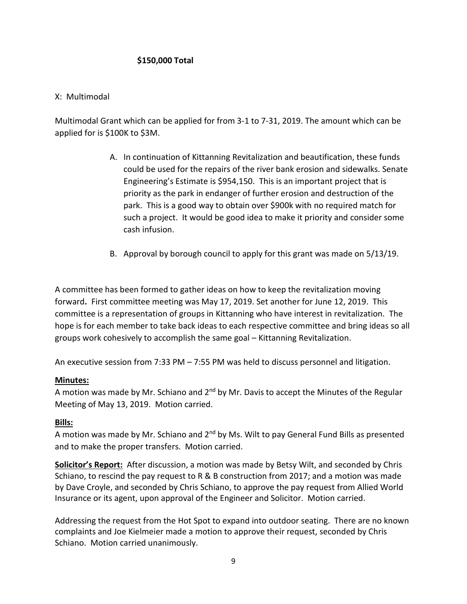## **\$150,000 Total**

#### X: Multimodal

Multimodal Grant which can be applied for from 3-1 to 7-31, 2019. The amount which can be applied for is \$100K to \$3M.

- A. In continuation of Kittanning Revitalization and beautification, these funds could be used for the repairs of the river bank erosion and sidewalks. Senate Engineering's Estimate is \$954,150. This is an important project that is priority as the park in endanger of further erosion and destruction of the park. This is a good way to obtain over \$900k with no required match for such a project. It would be good idea to make it priority and consider some cash infusion.
- B. Approval by borough council to apply for this grant was made on 5/13/19.

A committee has been formed to gather ideas on how to keep the revitalization moving forward**.** First committee meeting was May 17, 2019. Set another for June 12, 2019. This committee is a representation of groups in Kittanning who have interest in revitalization. The hope is for each member to take back ideas to each respective committee and bring ideas so all groups work cohesively to accomplish the same goal – Kittanning Revitalization.

An executive session from 7:33 PM  $-$  7:55 PM was held to discuss personnel and litigation.

#### **Minutes:**

A motion was made by Mr. Schiano and  $2<sup>nd</sup>$  by Mr. Davis to accept the Minutes of the Regular Meeting of May 13, 2019. Motion carried.

#### **Bills:**

A motion was made by Mr. Schiano and  $2^{nd}$  by Ms. Wilt to pay General Fund Bills as presented and to make the proper transfers. Motion carried.

**Solicitor's Report:** After discussion, a motion was made by Betsy Wilt, and seconded by Chris Schiano, to rescind the pay request to R & B construction from 2017; and a motion was made by Dave Croyle, and seconded by Chris Schiano, to approve the pay request from Allied World Insurance or its agent, upon approval of the Engineer and Solicitor. Motion carried.

Addressing the request from the Hot Spot to expand into outdoor seating. There are no known complaints and Joe Kielmeier made a motion to approve their request, seconded by Chris Schiano. Motion carried unanimously.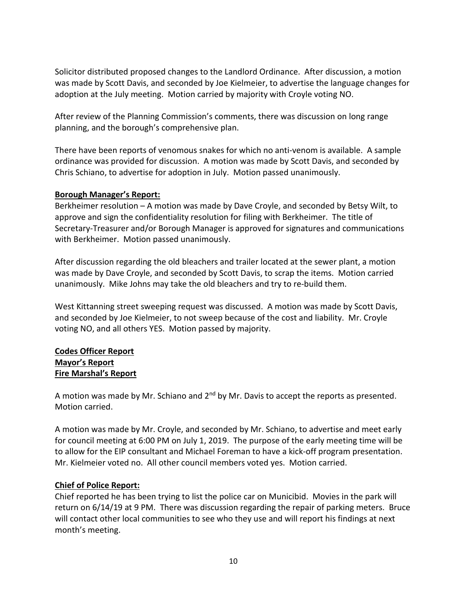Solicitor distributed proposed changes to the Landlord Ordinance. After discussion, a motion was made by Scott Davis, and seconded by Joe Kielmeier, to advertise the language changes for adoption at the July meeting. Motion carried by majority with Croyle voting NO.

After review of the Planning Commission's comments, there was discussion on long range planning, and the borough's comprehensive plan.

There have been reports of venomous snakes for which no anti-venom is available. A sample ordinance was provided for discussion. A motion was made by Scott Davis, and seconded by Chris Schiano, to advertise for adoption in July. Motion passed unanimously.

#### **Borough Manager's Report:**

Berkheimer resolution – A motion was made by Dave Croyle, and seconded by Betsy Wilt, to approve and sign the confidentiality resolution for filing with Berkheimer. The title of Secretary-Treasurer and/or Borough Manager is approved for signatures and communications with Berkheimer. Motion passed unanimously.

After discussion regarding the old bleachers and trailer located at the sewer plant, a motion was made by Dave Croyle, and seconded by Scott Davis, to scrap the items. Motion carried unanimously. Mike Johns may take the old bleachers and try to re-build them.

West Kittanning street sweeping request was discussed. A motion was made by Scott Davis, and seconded by Joe Kielmeier, to not sweep because of the cost and liability. Mr. Croyle voting NO, and all others YES. Motion passed by majority.

#### **Codes Officer Report Mayor's Report Fire Marshal's Report**

A motion was made by Mr. Schiano and  $2<sup>nd</sup>$  by Mr. Davis to accept the reports as presented. Motion carried.

A motion was made by Mr. Croyle, and seconded by Mr. Schiano, to advertise and meet early for council meeting at 6:00 PM on July 1, 2019. The purpose of the early meeting time will be to allow for the EIP consultant and Michael Foreman to have a kick-off program presentation. Mr. Kielmeier voted no. All other council members voted yes. Motion carried.

## **Chief of Police Report:**

Chief reported he has been trying to list the police car on Municibid. Movies in the park will return on 6/14/19 at 9 PM. There was discussion regarding the repair of parking meters. Bruce will contact other local communities to see who they use and will report his findings at next month's meeting.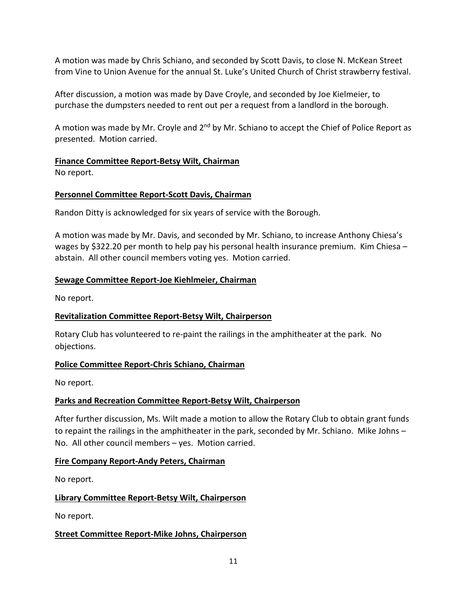A motion was made by Chris Schiano, and seconded by Scott Davis, to close N. McKean Street from Vine to Union Avenue for the annual St. Luke's United Church of Christ strawberry festival.

After discussion, a motion was made by Dave Croyle, and seconded by Joe Kielmeier, to purchase the dumpsters needed to rent out per a request from a landlord in the borough.

A motion was made by Mr. Croyle and  $2^{nd}$  by Mr. Schiano to accept the Chief of Police Report as presented. Motion carried.

## **Finance Committee Report-Betsy Wilt, Chairman**

No report.

## **Personnel Committee Report-Scott Davis, Chairman**

Randon Ditty is acknowledged for six years of service with the Borough.

A motion was made by Mr. Davis, and seconded by Mr. Schiano, to increase Anthony Chiesa's wages by \$322.20 per month to help pay his personal health insurance premium. Kim Chiesa – abstain. All other council members voting yes. Motion carried.

## **Sewage Committee Report-Joe Kiehlmeier, Chairman**

No report.

## **Revitalization Committee Report-Betsy Wilt, Chairperson**

Rotary Club has volunteered to re-paint the railings in the amphitheater at the park. No objections.

## **Police Committee Report-Chris Schiano, Chairman**

No report.

## **Parks and Recreation Committee Report-Betsy Wilt, Chairperson**

After further discussion, Ms. Wilt made a motion to allow the Rotary Club to obtain grant funds to repaint the railings in the amphitheater in the park, seconded by Mr. Schiano. Mike Johns – No. All other council members – yes. Motion carried.

## **Fire Company Report-Andy Peters, Chairman**

No report.

## **Library Committee Report-Betsy Wilt, Chairperson**

No report.

## **Street Committee Report-Mike Johns, Chairperson**